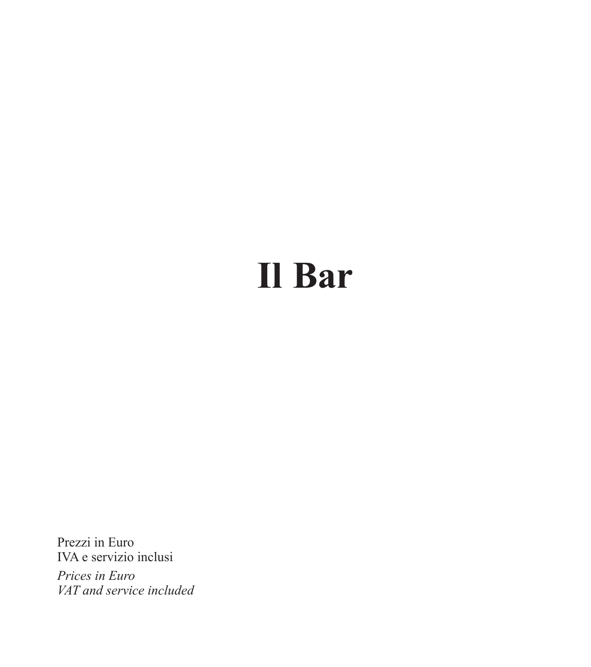# **Il Bar**

Prezzi in Euro IVA e servizio inclusi

*Prices in Euro VAT and service included*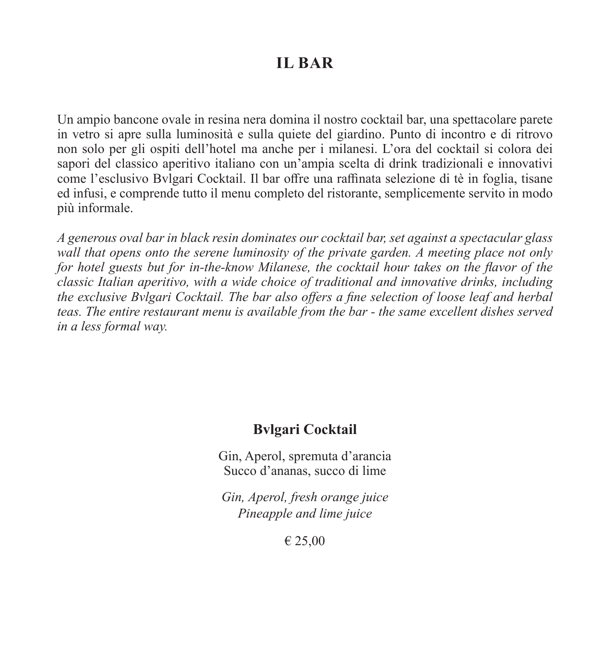### **IL BAR**

Un ampio bancone ovale in resina nera domina il nostro cocktail bar, una spettacolare parete in vetro si apre sulla luminosità e sulla quiete del giardino. Punto di incontro e di ritrovo non solo per gli ospiti dell'hotel ma anche per i milanesi. L'ora del cocktail si colora dei sapori del classico aperitivo italiano con un'ampia scelta di drink tradizionali e innovativi come l'esclusivo Bvlgari Cocktail. Il bar offre una raffinata selezione di tè in foglia, tisane ed infusi, e comprende tutto il menu completo del ristorante, semplicemente servito in modo più informale.

*A generous oval bar in black resin dominates our cocktail bar, set against a spectacular glass wall that opens onto the serene luminosity of the private garden. A meeting place not only for hotel guests but for in-the-know Milanese, the cocktail hour takes on the flavor of the classic Italian aperitivo, with a wide choice of traditional and innovative drinks, including the exclusive Bvlgari Cocktail. The bar also offers a fine selection of loose leaf and herbal teas. The entire restaurant menu is available from the bar - the same excellent dishes served in a less formal way.*

### **Bvlgari Cocktail**

Gin, Aperol, spremuta d'arancia Succo d'ananas, succo di lime

*Gin, Aperol, fresh orange juice Pineapple and lime juice*

€ 25,00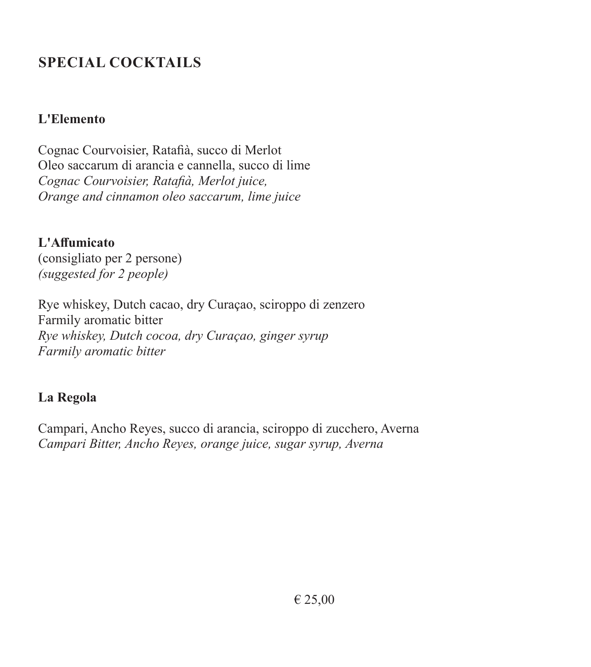### **SPECIAL COCKTAILS**

### **L'Elemento**

Cognac Courvoisier, Ratafià, succo di Merlot Oleo saccarum di arancia e cannella, succo di lime *Cognac Courvoisier, Ratafià, Merlot juice, Orange and cinnamon oleo saccarum, lime juice*

**L'Affumicato** (consigliato per 2 persone) *(suggested for 2 people)*

Rye whiskey, Dutch cacao, dry Curaçao, sciroppo di zenzero Farmily aromatic bitter *Rye whiskey, Dutch cocoa, dry Curaçao, ginger syrup Farmily aromatic bitter*

### **La Regola**

Campari, Ancho Reyes, succo di arancia, sciroppo di zucchero, Averna *Campari Bitter, Ancho Reyes, orange juice, sugar syrup, Averna*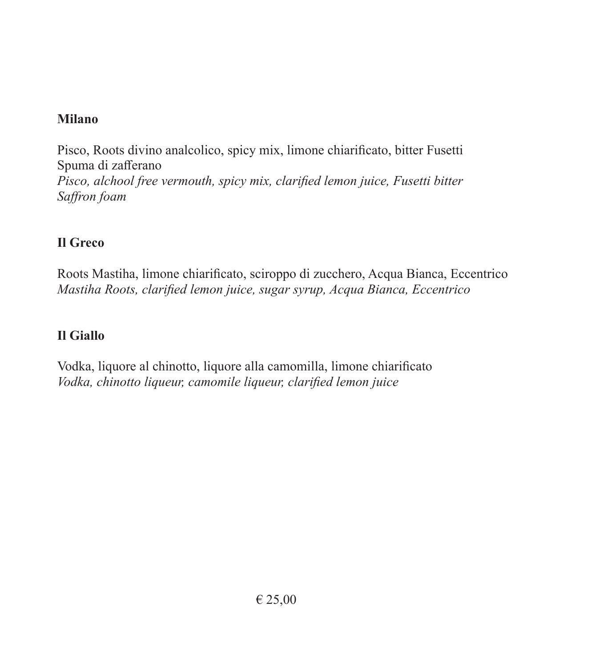### **Milano**

Pisco, Roots divino analcolico, spicy mix, limone chiarificato, bitter Fusetti Spuma di zafferano *Pisco, alchool free vermouth, spicy mix, clarified lemon juice, Fusetti bitter Saffron foam*

### **Il Greco**

Roots Mastiha, limone chiarificato, sciroppo di zucchero, Acqua Bianca, Eccentrico *Mastiha Roots, clarified lemon juice, sugar syrup, Acqua Bianca, Eccentrico*

### **Il Giallo**

Vodka, liquore al chinotto, liquore alla camomilla, limone chiarificato *Vodka, chinotto liqueur, camomile liqueur, clarified lemon juice*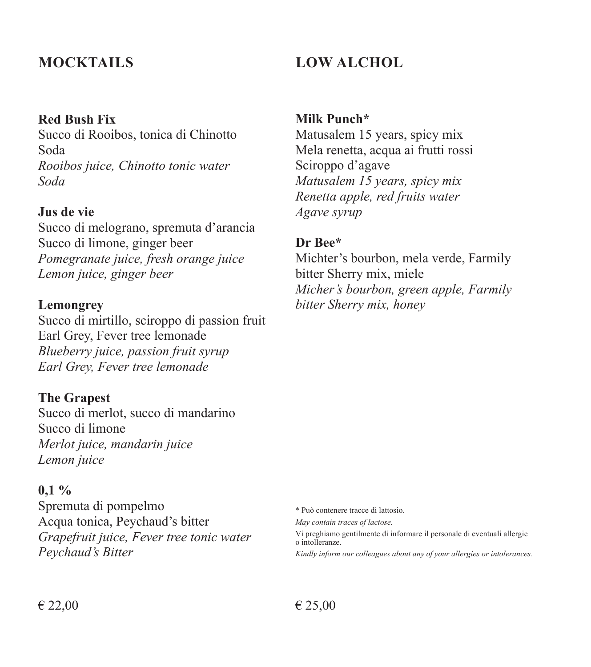### **Red Bush Fix**

Succo di Rooibos, tonica di Chinotto Soda *Rooibos juice, Chinotto tonic water Soda*

#### **Jus de vie**

Succo di melograno, spremuta d'arancia Succo di limone, ginger beer *Pomegranate juice, fresh orange juice Lemon juice, ginger beer* 

#### **Lemongrey**

Succo di mirtillo, sciroppo di passion fruit Earl Grey, Fever tree lemonade *Blueberry juice, passion fruit syrup Earl Grey, Fever tree lemonade*

#### **The Grapest**

Succo di merlot, succo di mandarino Succo di limone *Merlot juice, mandarin juice Lemon juice*

#### **0,1 %**

Spremuta di pompelmo Acqua tonica, Peychaud's bitter *Grapefruit juice, Fever tree tonic water Peychaud's Bitter*

### **MOCKTAILS LOW ALCHOL**

**Milk Punch\***

Matusalem 15 years, spicy mix Mela renetta, acqua ai frutti rossi Sciroppo d'agave *Matusalem 15 years, spicy mix Renetta apple, red fruits water Agave syrup*

#### **Dr Bee\***

Michter's bourbon, mela verde, Farmily bitter Sherry mix, miele *Micher's bourbon, green apple, Farmily bitter Sherry mix, honey*

\* Può contenere tracce di lattosio.

*May contain traces of lactose.*

Vi preghiamo gentilmente di informare il personale di eventuali allergie o intolleranze.

*Kindly inform our colleagues about any of your allergies or intolerances.*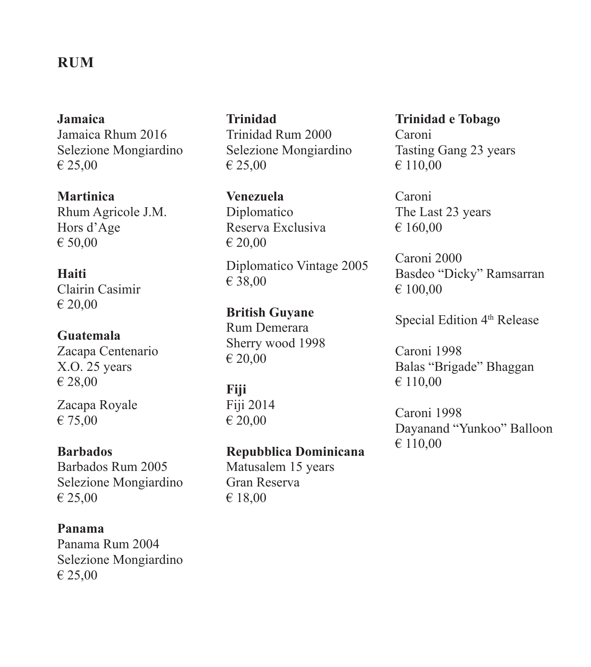### **RUM**

**Jamaica** Jamaica Rhum 2016 Selezione Mongiardino € 25,00

**Martinica** Rhum Agricole J.M. Hors d'Age € 50,00

### **Haiti**  Clairin Casimir € 20,00

**Guatemala** Zacapa Centenario X.O. 25 years € 28,00

Zacapa Royale € 75,00

#### **Barbados**

Barbados Rum 2005 Selezione Mongiardino € 25,00

**Panama** Panama Rum 2004 Selezione Mongiardino € 25,00

**Trinidad** Trinidad Rum 2000 Selezione Mongiardino € 25,00

**Venezuela** Diplomatico Reserva Exclusiva € 20,00

Diplomatico Vintage 2005 € 38,00

**British Guyane** Rum Demerara Sherry wood 1998 € 20,00

**Fiji**  Fiji 2014 € 20,00

### **Repubblica Dominicana**

Matusalem 15 years Gran Reserva € 18,00

### **Trinidad e Tobago** Caroni Tasting Gang 23 years € 110,00

Caroni The Last 23 years € 160,00

Caroni 2000 Basdeo "Dicky" Ramsarran € 100,00

Special Edition 4<sup>th</sup> Release

Caroni 1998 Balas "Brigade" Bhaggan € 110,00

Caroni 1998 Dayanand "Yunkoo" Balloon € 110,00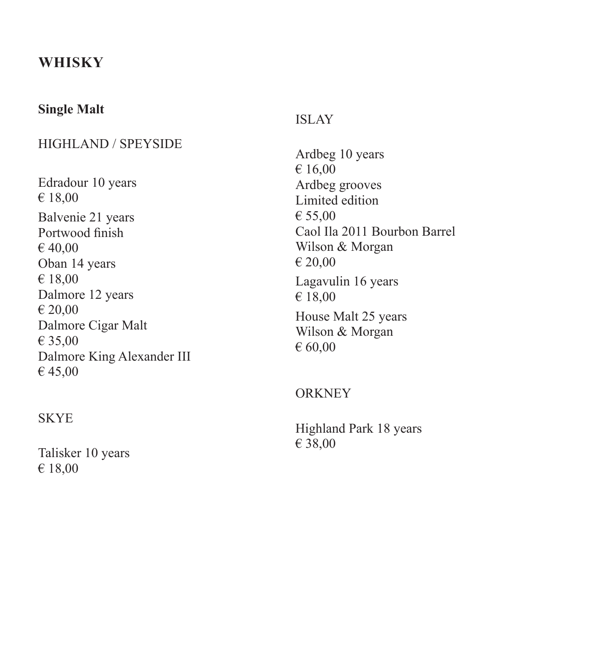### **WHISKY**

### **Single Malt**

### HIGHLAND / SPEYSIDE

Edradour 10 years € 18,00 Balvenie 21 years Portwood finish € 40,00 Oban 14 years € 18,00 Dalmore 12 years € 20,00 Dalmore Cigar Malt € 35,00 Dalmore King Alexander III € 45,00

#### **SKYE**

Talisker 10 years € 18,00

#### ISLAY

Ardbeg 10 years € 16,00 Ardbeg grooves Limited edition € 55,00 Caol Ila 2011 Bourbon Barrel Wilson & Morgan € 20,00 Lagavulin 16 years € 18,00 House Malt 25 years Wilson & Morgan € 60,00

### **ORKNEY**

Highland Park 18 years € 38,00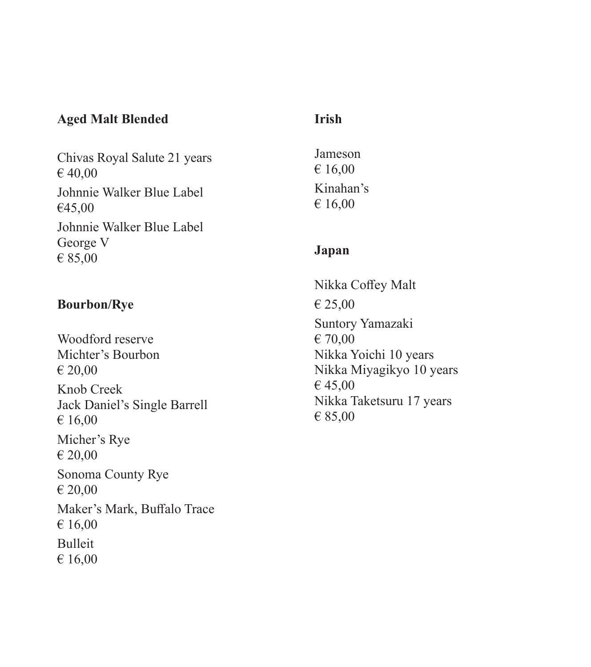### **Aged Malt Blended**

Chivas Royal Salute 21 years € 40,00 Johnnie Walker Blue Label €45,00 Johnnie Walker Blue Label George V € 85,00

### **Bourbon/Rye**

Woodford reserve Michter's Bourbon € 20,00 Knob Creek Jack Daniel's Single Barrell € 16,00 Micher's Rye € 20,00 Sonoma County Rye € 20,00 Maker's Mark, Buffalo Trace € 16,00 Bulleit € 16,00

### **Irish**

Jameson € 16,00 Kinahan's € 16,00

### **Japan**

Nikka Coffey Malt € 25,00 Suntory Yamazaki € 70,00 Nikka Yoichi 10 years Nikka Miyagikyo 10 years € 45,00 Nikka Taketsuru 17 years € 85,00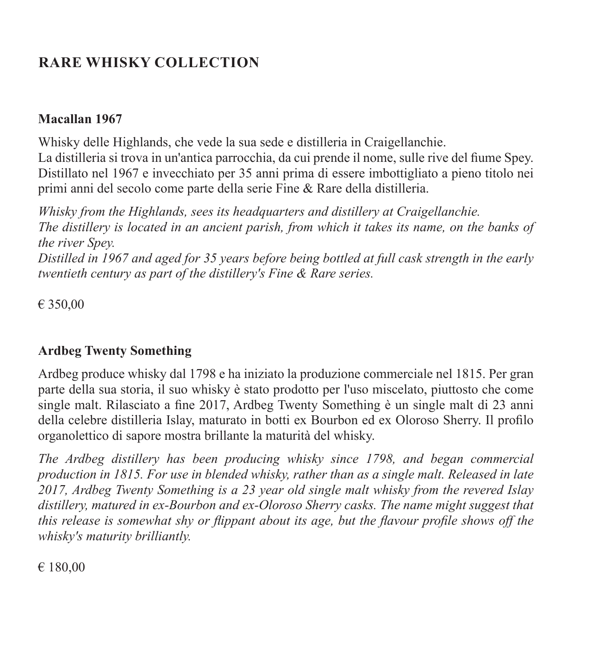### **RARE WHISKY COLLECTION**

### **Macallan 1967**

Whisky delle Highlands, che vede la sua sede e distilleria in Craigellanchie. La distilleria si trova in un'antica parrocchia, da cui prende il nome, sulle rive del fiume Spey. Distillato nel 1967 e invecchiato per 35 anni prima di essere imbottigliato a pieno titolo nei primi anni del secolo come parte della serie Fine & Rare della distilleria.

*Whisky from the Highlands, sees its headquarters and distillery at Craigellanchie. The distillery is located in an ancient parish, from which it takes its name, on the banks of the river Spey. Distilled in 1967 and aged for 35 years before being bottled at full cask strength in the early twentieth century as part of the distillery's Fine & Rare series.*

€ 350,00

### **Ardbeg Twenty Something**

Ardbeg produce whisky dal 1798 e ha iniziato la produzione commerciale nel 1815. Per gran parte della sua storia, il suo whisky è stato prodotto per l'uso miscelato, piuttosto che come single malt. Rilasciato a fine 2017, Ardbeg Twenty Something è un single malt di 23 anni della celebre distilleria Islay, maturato in botti ex Bourbon ed ex Oloroso Sherry. Il profilo organolettico di sapore mostra brillante la maturità del whisky.

*The Ardbeg distillery has been producing whisky since 1798, and began commercial production in 1815. For use in blended whisky, rather than as a single malt. Released in late 2017, Ardbeg Twenty Something is a 23 year old single malt whisky from the revered Islay distillery, matured in ex-Bourbon and ex-Oloroso Sherry casks. The name might suggest that this release is somewhat shy or flippant about its age, but the flavour profile shows off the whisky's maturity brilliantly.*

€ 180,00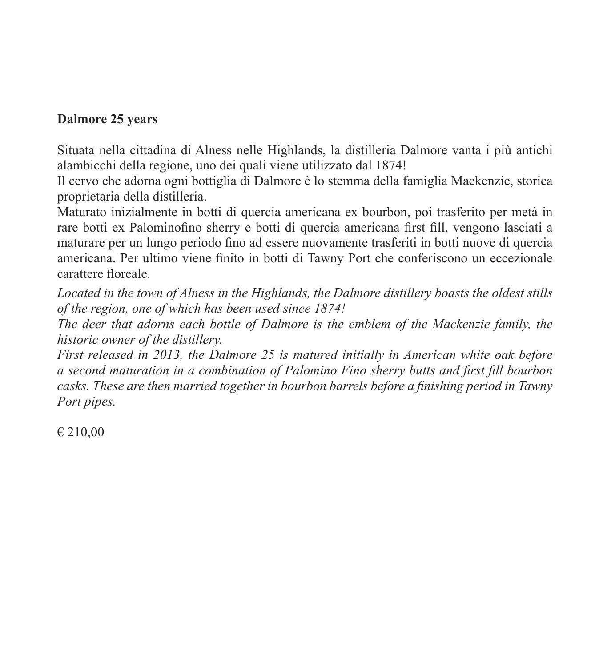### **Dalmore 25 years**

Situata nella cittadina di Alness nelle Highlands, la distilleria Dalmore vanta i più antichi alambicchi della regione, uno dei quali viene utilizzato dal 1874!

Il cervo che adorna ogni bottiglia di Dalmore è lo stemma della famiglia Mackenzie, storica proprietaria della distilleria.

Maturato inizialmente in botti di quercia americana ex bourbon, poi trasferito per metà in rare botti ex Palominofino sherry e botti di quercia americana first fill, vengono lasciati a maturare per un lungo periodo fino ad essere nuovamente trasferiti in botti nuove di quercia americana. Per ultimo viene finito in botti di Tawny Port che conferiscono un eccezionale carattere floreale.

*Located in the town of Alness in the Highlands, the Dalmore distillery boasts the oldest stills of the region, one of which has been used since 1874!*

*The deer that adorns each bottle of Dalmore is the emblem of the Mackenzie family, the historic owner of the distillery.*

*First released in 2013, the Dalmore 25 is matured initially in American white oak before a second maturation in a combination of Palomino Fino sherry butts and first fill bourbon casks. These are then married together in bourbon barrels before a finishing period in Tawny Port pipes.*

€ 210,00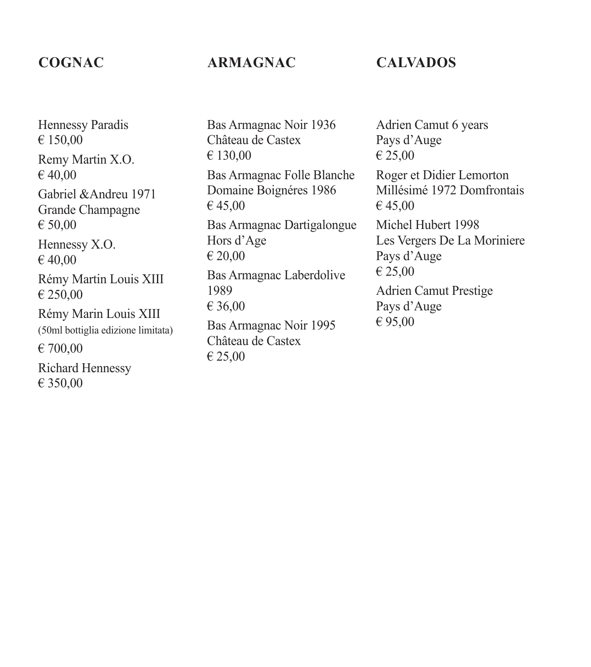### **COGNAC**

### **ARMAGNAC**

### **CALVADOS**

Hennessy Paradis  $€ 150.00$ Remy Martin X.O.  $€ 40.00$ Gabriel &Andreu 1971 Grande Champagne € 50,00 Hennessy X.O. € 40,00 Rémy Martin Louis XIII € 250,00 Rémy Marin Louis XIII (50ml bottiglia edizione limitata) € 700,00 Richard Hennessy € 350,00

Bas Armagnac Noir 1936 Château de Castex € 130,00 Bas Armagnac Folle Blanche Domaine Boignéres 1986 € 45,00 Bas Armagnac Dartigalongue Hors d'Age € 20,00 Bas Armagnac Laberdolive 1989 € 36,00 Bas Armagnac Noir 1995 Château de Castex

€ 25,00

Adrien Camut 6 years Pays d'Auge € 25,00 Roger et Didier Lemorton Millésimé 1972 Domfrontais € 45,00 Michel Hubert 1998 Les Vergers De La Moriniere Pays d'Auge € 25,00 Adrien Camut Prestige Pays d'Auge € 95,00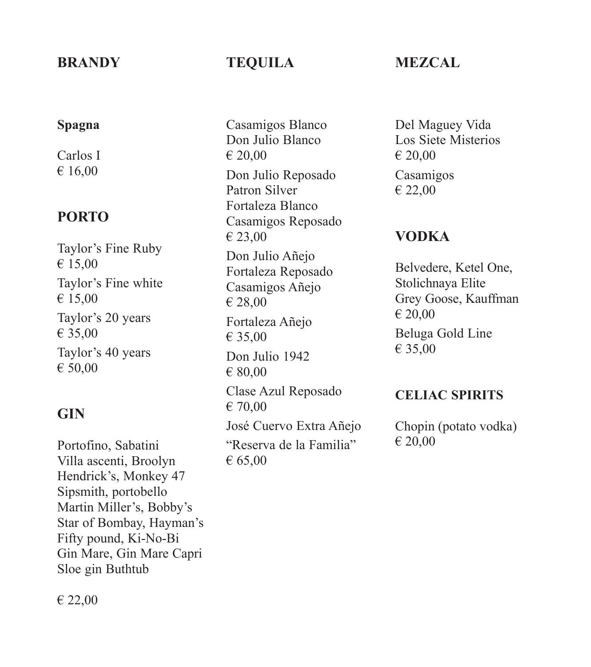### **BRANDY**

## **Spagna**

Carlos I € 16,00

### **PORTO**

Taylor's Fine Ruby € 15,00 Taylor's Fine white € 15,00 Taylor's 20 years € 35,00 Taylor's 40 years € 50,00

### **GIN**

Portofino, Sabatini Villa ascenti, Broolyn Hendrick's, Monkey 47 Sipsmith, portobello Martin Miller's, Bobby's Star of Bombay, Hayman's Fifty pound, Ki-No-Bi Gin Mare, Gin Mare Capri Sloe gin Buthtub

### **TEQUILA**

Casamigos Blanco Don Julio Blanco € 20,00 Don Julio Reposado Patron Silver Fortaleza Blanco Casamigos Reposado € 23,00 Don Julio Añejo Fortaleza Reposado Casamigos Añejo € 28,00 Fortaleza Añejo € 35,00 Don Julio 1942 € 80,00 Clase Azul Reposado € 70,00 José Cuervo Extra Añejo "Reserva de la Familia" € 65,00

### **MEZCAL**

Del Maguey Vida Los Siete Misterios € 20,00 Casamigos € 22,00

### **VODKA**

Belvedere, Ketel One, Stolichnaya Elite Grey Goose, Kauffman € 20,00 Beluga Gold Line € 35,00

### **CELIAC SPIRITS**

Chopin (potato vodka) € 20,00

€ 22,00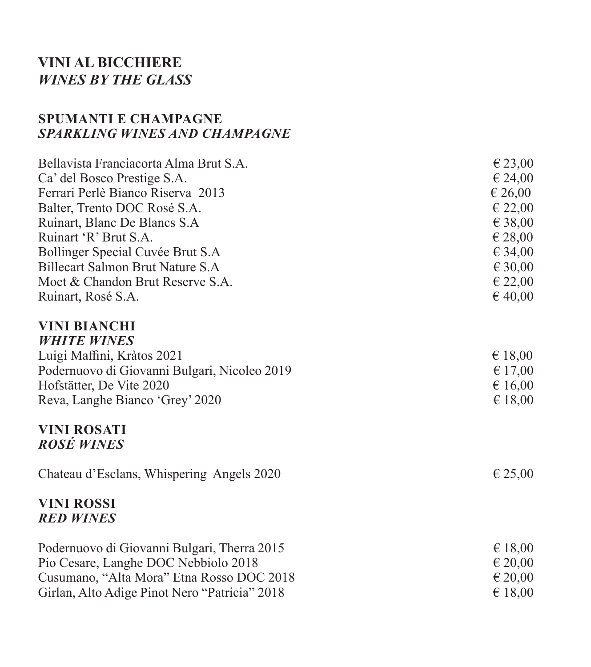### **VINI AL BICCHIERE** *WINES BY THE GLASS*

### **SPUMANTI E CHAMPAGNE** *SPARKLING WINES AND CHAMPAGNE*

| Bellavista Franciacorta Alma Brut S.A.        | $\epsilon$ 23,00 |
|-----------------------------------------------|------------------|
| Ca' del Bosco Prestige S.A.                   | € 24,00          |
| Ferrari Perlè Bianco Riserva 2013             | € 26,00          |
| Balter, Trento DOC Rosé S.A.                  | € 22,00          |
| Ruinart, Blanc De Blancs S.A.                 | € 38,00          |
| Ruinart 'R' Brut S.A.                         | € 28,00          |
| Bollinger Special Cuvée Brut S.A              | € 34,00          |
| Billecart Salmon Brut Nature S.A              | €30,00           |
| Moet & Chandon Brut Reserve S.A.              | € 22,00          |
| Ruinart, Rosé S.A.                            | $\epsilon$ 40,00 |
| <b>VINI BIANCHI</b>                           |                  |
| <b>WHITE WINES</b>                            |                  |
| Luigi Maffini, Kràtos 2021                    | € 18,00          |
| Podernuovo di Giovanni Bulgari, Nicoleo 2019  | € 17,00          |
| Hofstätter, De Vite 2020                      | € 16,00          |
| Reva, Langhe Bianco 'Grey' 2020               | $\epsilon$ 18,00 |
| <b>VINI ROSATI</b>                            |                  |
| <b>ROSÉ WINES</b>                             |                  |
| Chateau d'Esclans, Whispering Angels 2020     | $\epsilon$ 25,00 |
| <b>VINI ROSSI</b>                             |                  |
| <b>RED WINES</b>                              |                  |
| Podernuovo di Giovanni Bulgari, Therra 2015   | $\epsilon$ 18,00 |
| Pio Cesare, Langhe DOC Nebbiolo 2018          | $\epsilon$ 20,00 |
| Cusumano, "Alta Mora" Etna Rosso DOC 2018     | 620,00           |
| Girlan, Alto Adige Pinot Nero "Patricia" 2018 | $\epsilon$ 18.00 |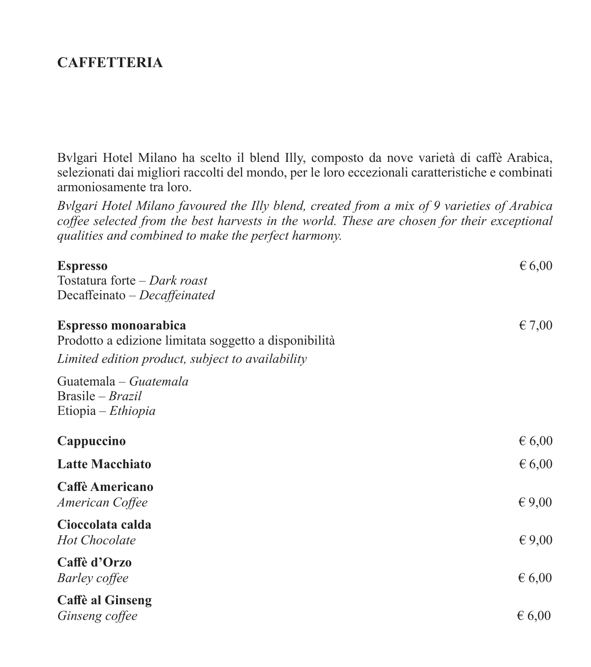### **CAFFETTERIA**

Bvlgari Hotel Milano ha scelto il blend Illy, composto da nove varietà di caffè Arabica, selezionati dai migliori raccolti del mondo, per le loro eccezionali caratteristiche e combinati armoniosamente tra loro.

*Bvlgari Hotel Milano favoured the Illy blend, created from a mix of 9 varieties of Arabica coffee selected from the best harvests in the world. These are chosen for their exceptional qualities and combined to make the perfect harmony.*

| <b>Espresso</b><br>Tostatura forte – Dark roast                               | $\epsilon$ 6,00 |
|-------------------------------------------------------------------------------|-----------------|
| Decaffeinato - Decaffeinated                                                  |                 |
| Espresso monoarabica<br>Prodotto a edizione limitata soggetto a disponibilità | $\epsilon$ 7,00 |
| Limited edition product, subject to availability                              |                 |
| Guatemala - Guatemala<br>Brasile – Brazil<br>Etiopia – Ethiopia               |                 |
| Cappuccino                                                                    | $\epsilon$ 6,00 |
| <b>Latte Macchiato</b>                                                        | $\epsilon$ 6,00 |
| Caffè Americano<br>American Coffee                                            | $\epsilon$ 9,00 |
| Cioccolata calda<br><b>Hot Chocolate</b>                                      | $\epsilon$ 9,00 |
| Caffè d'Orzo<br><b>Barley</b> coffee                                          | $\epsilon$ 6,00 |
| <b>Caffè al Ginseng</b><br>Ginseng coffee                                     | 6,00            |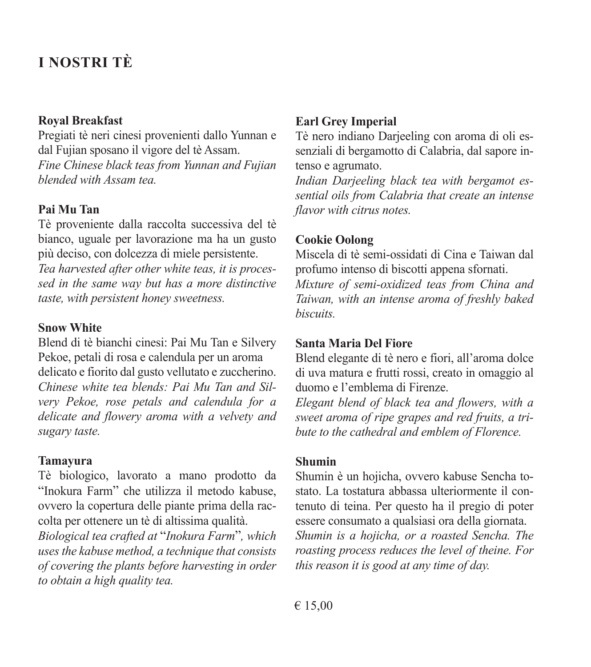### **I NOSTRI TÈ**

#### **Royal Breakfast**

Pregiati tè neri cinesi provenienti dallo Yunnan e dal Fujian sposano il vigore del tè Assam. *Fine Chinese black teas from Yunnan and Fujian blended with Assam tea.*

#### **Pai Mu Tan**

Tè proveniente dalla raccolta successiva del tè bianco, uguale per lavorazione ma ha un gusto più deciso, con dolcezza di miele persistente. *Tea harvested after other white teas, it is processed in the same way but has a more distinctive taste, with persistent honey sweetness.*

#### **Snow White**

Blend di tè bianchi cinesi: Pai Mu Tan e Silvery Pekoe, petali di rosa e calendula per un aroma delicato e fiorito dal gusto vellutato e zuccherino. *Chinese white tea blends: Pai Mu Tan and Silvery Pekoe, rose petals and calendula for a delicate and flowery aroma with a velvety and sugary taste.*

#### **Tamayura**

Tè biologico, lavorato a mano prodotto da "Inokura Farm" che utilizza il metodo kabuse, ovvero la copertura delle piante prima della raccolta per ottenere un tè di altissima qualità.

*Biological tea crafted at* "*Inokura Farm*"*, which uses the kabuse method, a technique that consists of covering the plants before harvesting in order to obtain a high quality tea.*

### **Earl Grey Imperial**

Tè nero indiano Darjeeling con aroma di oli essenziali di bergamotto di Calabria, dal sapore intenso e agrumato.

*Indian Darjeeling black tea with bergamot essential oils from Calabria that create an intense flavor with citrus notes.*

#### **Cookie Oolong**

Miscela di tè semi-ossidati di Cina e Taiwan dal profumo intenso di biscotti appena sfornati.

*Mixture of semi-oxidized teas from China and Taiwan, with an intense aroma of freshly baked biscuits.*

#### **Santa Maria Del Fiore**

Blend elegante di tè nero e fiori, all'aroma dolce di uva matura e frutti rossi, creato in omaggio al duomo e l'emblema di Firenze.

*Elegant blend of black tea and flowers, with a sweet aroma of ripe grapes and red fruits, a tribute to the cathedral and emblem of Florence.*

#### **Shumin**

Shumin è un hojicha, ovvero kabuse Sencha tostato. La tostatura abbassa ulteriormente il contenuto di teina. Per questo ha il pregio di poter essere consumato a qualsiasi ora della giornata. *Shumin is a hojicha, or a roasted Sencha. The roasting process reduces the level of theine. For this reason it is good at any time of day.*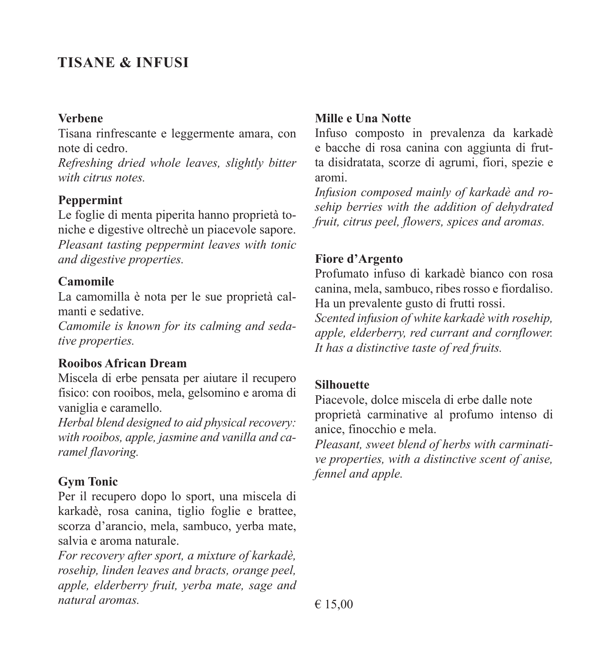### **TISANE & INFUSI**

#### **Verbene**

Tisana rinfrescante e leggermente amara, con note di cedro.

*Refreshing dried whole leaves, slightly bitter with citrus notes.*

### **Peppermint**

Le foglie di menta piperita hanno proprietà toniche e digestive oltrechè un piacevole sapore. *Pleasant tasting peppermint leaves with tonic and digestive properties.*

#### **Camomile**

La camomilla è nota per le sue proprietà calmanti e sedative.

*Camomile is known for its calming and sedative properties.*

#### **Rooibos African Dream**

Miscela di erbe pensata per aiutare il recupero fisico: con rooibos, mela, gelsomino e aroma di vaniglia e caramello.

*Herbal blend designed to aid physical recovery: with rooibos, apple, jasmine and vanilla and caramel flavoring.*

### **Gym Tonic**

Per il recupero dopo lo sport, una miscela di karkadè, rosa canina, tiglio foglie e brattee, scorza d'arancio, mela, sambuco, yerba mate, salvia e aroma naturale.

*For recovery after sport, a mixture of karkadè, rosehip, linden leaves and bracts, orange peel, apple, elderberry fruit, yerba mate, sage and natural aromas.* 

### **Mille e Una Notte**

Infuso composto in prevalenza da karkadè e bacche di rosa canina con aggiunta di frutta disidratata, scorze di agrumi, fiori, spezie e aromi.

*Infusion composed mainly of karkadè and rosehip berries with the addition of dehydrated fruit, citrus peel, flowers, spices and aromas.*

#### **Fiore d'Argento**

Profumato infuso di karkadè bianco con rosa canina, mela, sambuco, ribes rosso e fiordaliso. Ha un prevalente gusto di frutti rossi.

*Scented infusion of white karkadè with rosehip, apple, elderberry, red currant and cornflower. It has a distinctive taste of red fruits.*

### **Silhouette**

Piacevole, dolce miscela di erbe dalle note proprietà carminative al profumo intenso di anice, finocchio e mela.

*Pleasant, sweet blend of herbs with carminative properties, with a distinctive scent of anise, fennel and apple.*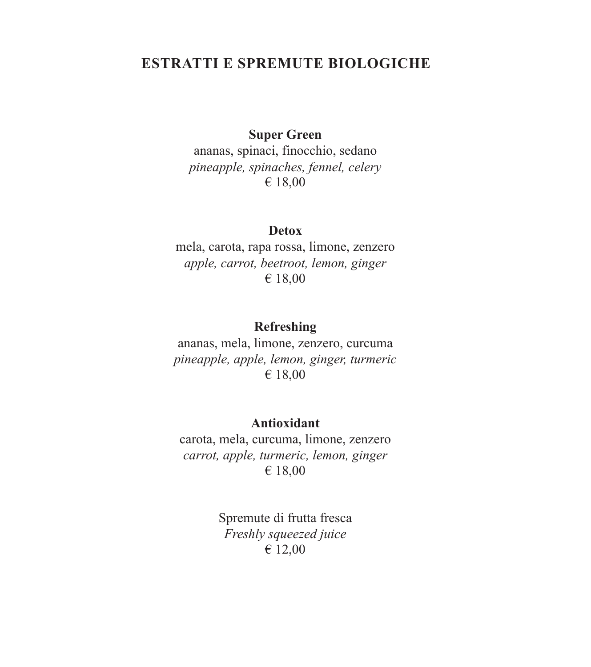### **ESTRATTI E SPREMUTE BIOLOGICHE**

### **Super Green**

ananas, spinaci, finocchio, sedano *pineapple, spinaches, fennel, celery* € 18,00

#### **Detox**

mela, carota, rapa rossa, limone, zenzero *apple, carrot, beetroot, lemon, ginger* € 18,00

### **Refreshing**

ananas, mela, limone, zenzero, curcuma *pineapple, apple, lemon, ginger, turmeric* € 18,00

#### **Antioxidant**

carota, mela, curcuma, limone, zenzero *carrot, apple, turmeric, lemon, ginger* € 18,00

> Spremute di frutta fresca *Freshly squeezed juice* € 12,00